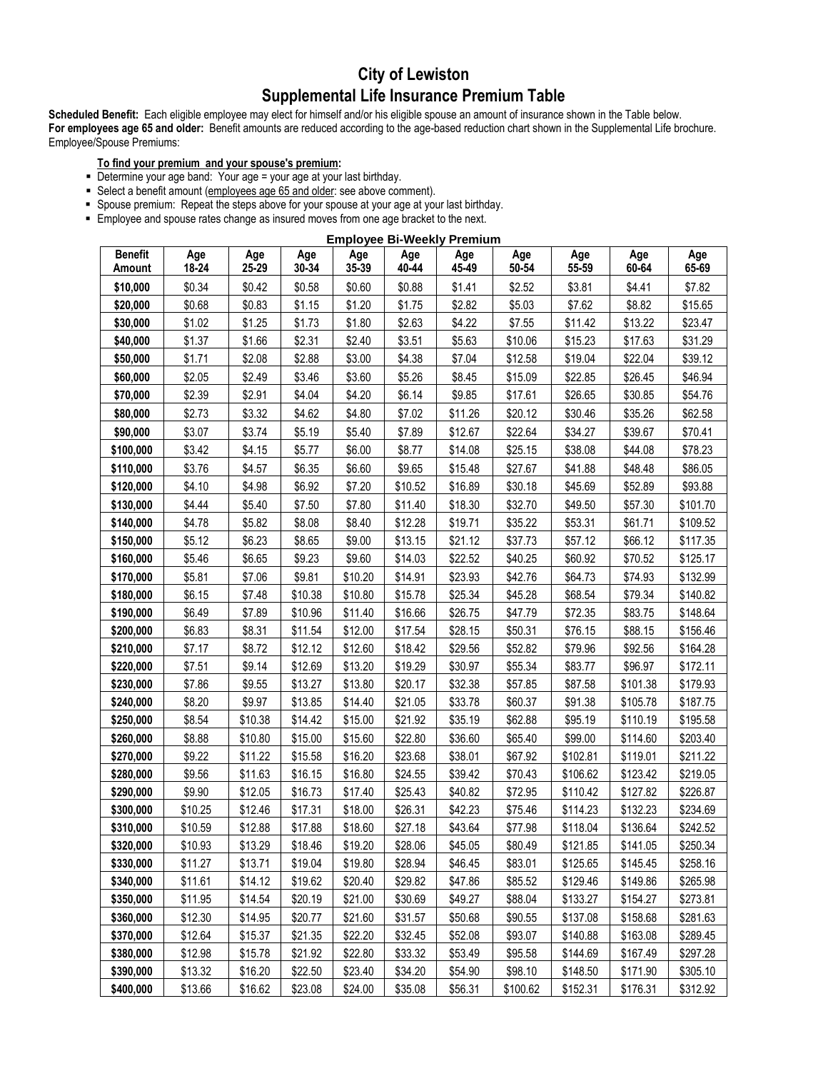# **City of Lewiston Supplemental Life Insurance Premium Table**

**Scheduled Benefit:** Each eligible employee may elect for himself and/or his eligible spouse an amount of insurance shown in the Table below. **For employees age 65 and older:** Benefit amounts are reduced according to the age-based reduction chart shown in the Supplemental Life brochure. Employee/Spouse Premiums:

## **To find your premium and your spouse's premium:**

- Determine your age band: Your age = your age at your last birthday.
- Select a benefit amount (employees age 65 and older: see above comment).
- Spouse premium: Repeat the steps above for your spouse at your age at your last birthday.
- **Employee and spouse rates change as insured moves from one age bracket to the next.**

| <b>Employee Bi-Weekly Premium</b> |              |              |              |              |              |              |              |              |              |              |
|-----------------------------------|--------------|--------------|--------------|--------------|--------------|--------------|--------------|--------------|--------------|--------------|
| <b>Benefit</b><br>Amount          | Age<br>18-24 | Age<br>25-29 | Age<br>30-34 | Age<br>35-39 | Age<br>40-44 | Age<br>45-49 | Age<br>50-54 | Age<br>55-59 | Age<br>60-64 | Age<br>65-69 |
| \$10,000                          | \$0.34       | \$0.42       | \$0.58       | \$0.60       | \$0.88       | \$1.41       | \$2.52       | \$3.81       | \$4.41       | \$7.82       |
| \$20,000                          | \$0.68       | \$0.83       | \$1.15       | \$1.20       | \$1.75       | \$2.82       | \$5.03       | \$7.62       | \$8.82       | \$15.65      |
| \$30,000                          | \$1.02       | \$1.25       | \$1.73       | \$1.80       | \$2.63       | \$4.22       | \$7.55       | \$11.42      | \$13.22      | \$23.47      |
| \$40,000                          | \$1.37       | \$1.66       | \$2.31       | \$2.40       | \$3.51       | \$5.63       | \$10.06      | \$15.23      | \$17.63      | \$31.29      |
| \$50,000                          | \$1.71       | \$2.08       | \$2.88       | \$3.00       | \$4.38       | \$7.04       | \$12.58      | \$19.04      | \$22.04      | \$39.12      |
| \$60,000                          | \$2.05       | \$2.49       | \$3.46       | \$3.60       | \$5.26       | \$8.45       | \$15.09      | \$22.85      | \$26.45      | \$46.94      |
| \$70,000                          | \$2.39       | \$2.91       | \$4.04       | \$4.20       | \$6.14       | \$9.85       | \$17.61      | \$26.65      | \$30.85      | \$54.76      |
| \$80,000                          | \$2.73       | \$3.32       | \$4.62       | \$4.80       | \$7.02       | \$11.26      | \$20.12      | \$30.46      | \$35.26      | \$62.58      |
| \$90,000                          | \$3.07       | \$3.74       | \$5.19       | \$5.40       | \$7.89       | \$12.67      | \$22.64      | \$34.27      | \$39.67      | \$70.41      |
| \$100,000                         | \$3.42       | \$4.15       | \$5.77       | \$6.00       | \$8.77       | \$14.08      | \$25.15      | \$38.08      | \$44.08      | \$78.23      |
| \$110,000                         | \$3.76       | \$4.57       | \$6.35       | \$6.60       | \$9.65       | \$15.48      | \$27.67      | \$41.88      | \$48.48      | \$86.05      |
| \$120,000                         | \$4.10       | \$4.98       | \$6.92       | \$7.20       | \$10.52      | \$16.89      | \$30.18      | \$45.69      | \$52.89      | \$93.88      |
| \$130,000                         | \$4.44       | \$5.40       | \$7.50       | \$7.80       | \$11.40      | \$18.30      | \$32.70      | \$49.50      | \$57.30      | \$101.70     |
| \$140,000                         | \$4.78       | \$5.82       | \$8.08       | \$8.40       | \$12.28      | \$19.71      | \$35.22      | \$53.31      | \$61.71      | \$109.52     |
| \$150,000                         | \$5.12       | \$6.23       | \$8.65       | \$9.00       | \$13.15      | \$21.12      | \$37.73      | \$57.12      | \$66.12      | \$117.35     |
| \$160,000                         | \$5.46       | \$6.65       | \$9.23       | \$9.60       | \$14.03      | \$22.52      | \$40.25      | \$60.92      | \$70.52      | \$125.17     |
| \$170,000                         | \$5.81       | \$7.06       | \$9.81       | \$10.20      | \$14.91      | \$23.93      | \$42.76      | \$64.73      | \$74.93      | \$132.99     |
| \$180,000                         | \$6.15       | \$7.48       | \$10.38      | \$10.80      | \$15.78      | \$25.34      | \$45.28      | \$68.54      | \$79.34      | \$140.82     |
| \$190,000                         | \$6.49       | \$7.89       | \$10.96      | \$11.40      | \$16.66      | \$26.75      | \$47.79      | \$72.35      | \$83.75      | \$148.64     |
| \$200,000                         | \$6.83       | \$8.31       | \$11.54      | \$12.00      | \$17.54      | \$28.15      | \$50.31      | \$76.15      | \$88.15      | \$156.46     |
| \$210,000                         | \$7.17       | \$8.72       | \$12.12      | \$12.60      | \$18.42      | \$29.56      | \$52.82      | \$79.96      | \$92.56      | \$164.28     |
| \$220,000                         | \$7.51       | \$9.14       | \$12.69      | \$13.20      | \$19.29      | \$30.97      | \$55.34      | \$83.77      | \$96.97      | \$172.11     |
| \$230,000                         | \$7.86       | \$9.55       | \$13.27      | \$13.80      | \$20.17      | \$32.38      | \$57.85      | \$87.58      | \$101.38     | \$179.93     |
| \$240,000                         | \$8.20       | \$9.97       | \$13.85      | \$14.40      | \$21.05      | \$33.78      | \$60.37      | \$91.38      | \$105.78     | \$187.75     |
| \$250,000                         | \$8.54       | \$10.38      | \$14.42      | \$15.00      | \$21.92      | \$35.19      | \$62.88      | \$95.19      | \$110.19     | \$195.58     |
| \$260,000                         | \$8.88       | \$10.80      | \$15.00      | \$15.60      | \$22.80      | \$36.60      | \$65.40      | \$99.00      | \$114.60     | \$203.40     |
| \$270,000                         | \$9.22       | \$11.22      | \$15.58      | \$16.20      | \$23.68      | \$38.01      | \$67.92      | \$102.81     | \$119.01     | \$211.22     |
| \$280,000                         | \$9.56       | \$11.63      | \$16.15      | \$16.80      | \$24.55      | \$39.42      | \$70.43      | \$106.62     | \$123.42     | \$219.05     |
| \$290,000                         | \$9.90       | \$12.05      | \$16.73      | \$17.40      | \$25.43      | \$40.82      | \$72.95      | \$110.42     | \$127.82     | \$226.87     |
| \$300,000                         | \$10.25      | \$12.46      | \$17.31      | \$18.00      | \$26.31      | \$42.23      | \$75.46      | \$114.23     | \$132.23     | \$234.69     |
| \$310,000                         | \$10.59      | \$12.88      | \$17.88      | \$18.60      | \$27.18      | \$43.64      | \$77.98      | \$118.04     | \$136.64     | \$242.52     |
| \$320,000                         | \$10.93      | \$13.29      | \$18.46      | \$19.20      | \$28.06      | \$45.05      | \$80.49      | \$121.85     | \$141.05     | \$250.34     |
| \$330,000                         | \$11.27      | \$13.71      | \$19.04      | \$19.80      | \$28.94      | \$46.45      | \$83.01      | \$125.65     | \$145.45     | \$258.16     |
| \$340,000                         | \$11.61      | \$14.12      | \$19.62      | \$20.40      | \$29.82      | \$47.86      | \$85.52      | \$129.46     | \$149.86     | \$265.98     |
| \$350,000                         | \$11.95      | \$14.54      | \$20.19      | \$21.00      | \$30.69      | \$49.27      | \$88.04      | \$133.27     | \$154.27     | \$273.81     |
| \$360,000                         | \$12.30      | \$14.95      | \$20.77      | \$21.60      | \$31.57      | \$50.68      | \$90.55      | \$137.08     | \$158.68     | \$281.63     |
| \$370,000                         | \$12.64      | \$15.37      | \$21.35      | \$22.20      | \$32.45      | \$52.08      | \$93.07      | \$140.88     | \$163.08     | \$289.45     |
| \$380,000                         | \$12.98      | \$15.78      | \$21.92      | \$22.80      | \$33.32      | \$53.49      | \$95.58      | \$144.69     | \$167.49     | \$297.28     |
| \$390,000                         | \$13.32      | \$16.20      | \$22.50      | \$23.40      | \$34.20      | \$54.90      | \$98.10      | \$148.50     | \$171.90     | \$305.10     |
| \$400,000                         | \$13.66      | \$16.62      | \$23.08      | \$24.00      | \$35.08      | \$56.31      | \$100.62     | \$152.31     | \$176.31     | \$312.92     |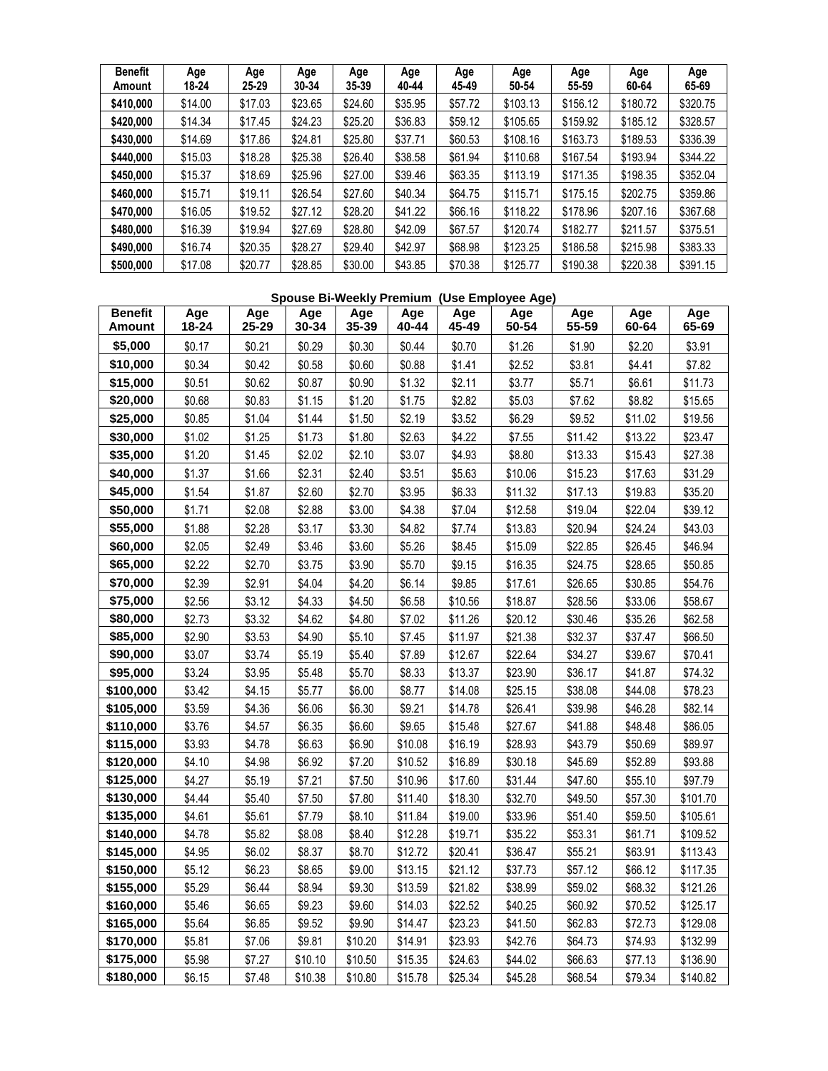| <b>Benefit</b><br>Amount | Age<br>18-24 | Age<br>25-29 | Age<br>30-34 | Age<br>35-39 | Age<br>40-44 | Age<br>45-49 | Age<br>50-54 | Age<br>55-59 | Age<br>60-64 | Age<br>65-69 |
|--------------------------|--------------|--------------|--------------|--------------|--------------|--------------|--------------|--------------|--------------|--------------|
| \$410,000                | \$14.00      | \$17.03      | \$23.65      | \$24.60      | \$35.95      | \$57.72      | \$103.13     | \$156.12     | \$180.72     | \$320.75     |
| \$420,000                | \$14.34      | \$17.45      | \$24.23      | \$25.20      | \$36.83      | \$59.12      | \$105.65     | \$159.92     | \$185.12     | \$328.57     |
| \$430,000                | \$14.69      | \$17.86      | \$24.81      | \$25.80      | \$37.71      | \$60.53      | \$108.16     | \$163.73     | \$189.53     | \$336.39     |
| \$440,000                | \$15.03      | \$18.28      | \$25.38      | \$26.40      | \$38.58      | \$61.94      | \$110.68     | \$167.54     | \$193.94     | \$344.22     |
| \$450,000                | \$15.37      | \$18.69      | \$25.96      | \$27.00      | \$39.46      | \$63.35      | \$113.19     | \$171.35     | \$198.35     | \$352.04     |
| \$460,000                | \$15.71      | \$19.11      | \$26.54      | \$27.60      | \$40.34      | \$64.75      | \$115.71     | \$175.15     | \$202.75     | \$359.86     |
| \$470,000                | \$16.05      | \$19.52      | \$27.12      | \$28.20      | \$41.22      | \$66.16      | \$118.22     | \$178.96     | \$207.16     | \$367.68     |
| \$480,000                | \$16.39      | \$19.94      | \$27.69      | \$28.80      | \$42.09      | \$67.57      | \$120.74     | \$182.77     | \$211.57     | \$375.51     |
| \$490,000                | \$16.74      | \$20.35      | \$28.27      | \$29.40      | \$42.97      | \$68.98      | \$123.25     | \$186.58     | \$215.98     | \$383.33     |
| \$500,000                | \$17.08      | \$20.77      | \$28.85      | \$30.00      | \$43.85      | \$70.38      | \$125.77     | \$190.38     | \$220.38     | \$391.15     |

### **Spouse Bi-Weekly Premium (Use Employee Age)**

| <b>Benefit</b><br>Amount | Age<br>18-24 | Age<br>25-29 | Age<br>30-34 | Age<br>35-39 | Age<br>40-44 | Age<br>45-49 | Age<br>50-54 | Age<br>55-59 | Age<br>60-64 | Age<br>65-69 |
|--------------------------|--------------|--------------|--------------|--------------|--------------|--------------|--------------|--------------|--------------|--------------|
| \$5,000                  | \$0.17       | \$0.21       | \$0.29       | \$0.30       | \$0.44       | \$0.70       | \$1.26       | \$1.90       | \$2.20       | \$3.91       |
| \$10,000                 | \$0.34       | \$0.42       | \$0.58       | \$0.60       | \$0.88       | \$1.41       | \$2.52       | \$3.81       | \$4.41       | \$7.82       |
| \$15,000                 | \$0.51       | \$0.62       | \$0.87       | \$0.90       | \$1.32       | \$2.11       | \$3.77       | \$5.71       | \$6.61       | \$11.73      |
| \$20,000                 | \$0.68       | \$0.83       | \$1.15       | \$1.20       | \$1.75       | \$2.82       | \$5.03       | \$7.62       | \$8.82       | \$15.65      |
| \$25,000                 | \$0.85       | \$1.04       | \$1.44       | \$1.50       | \$2.19       | \$3.52       | \$6.29       | \$9.52       | \$11.02      | \$19.56      |
| \$30,000                 | \$1.02       | \$1.25       | \$1.73       | \$1.80       | \$2.63       | \$4.22       | \$7.55       | \$11.42      | \$13.22      | \$23.47      |
| \$35,000                 | \$1.20       | \$1.45       | \$2.02       | \$2.10       | \$3.07       | \$4.93       | \$8.80       | \$13.33      | \$15.43      | \$27.38      |
| \$40,000                 | \$1.37       | \$1.66       | \$2.31       | \$2.40       | \$3.51       | \$5.63       | \$10.06      | \$15.23      | \$17.63      | \$31.29      |
| \$45,000                 | \$1.54       | \$1.87       | \$2.60       | \$2.70       | \$3.95       | \$6.33       | \$11.32      | \$17.13      | \$19.83      | \$35.20      |
| \$50,000                 | \$1.71       | \$2.08       | \$2.88       | \$3.00       | \$4.38       | \$7.04       | \$12.58      | \$19.04      | \$22.04      | \$39.12      |
| \$55,000                 | \$1.88       | \$2.28       | \$3.17       | \$3.30       | \$4.82       | \$7.74       | \$13.83      | \$20.94      | \$24.24      | \$43.03      |
| \$60,000                 | \$2.05       | \$2.49       | \$3.46       | \$3.60       | \$5.26       | \$8.45       | \$15.09      | \$22.85      | \$26.45      | \$46.94      |
| \$65,000                 | \$2.22       | \$2.70       | \$3.75       | \$3.90       | \$5.70       | \$9.15       | \$16.35      | \$24.75      | \$28.65      | \$50.85      |
| \$70,000                 | \$2.39       | \$2.91       | \$4.04       | \$4.20       | \$6.14       | \$9.85       | \$17.61      | \$26.65      | \$30.85      | \$54.76      |
| \$75,000                 | \$2.56       | \$3.12       | \$4.33       | \$4.50       | \$6.58       | \$10.56      | \$18.87      | \$28.56      | \$33.06      | \$58.67      |
| \$80,000                 | \$2.73       | \$3.32       | \$4.62       | \$4.80       | \$7.02       | \$11.26      | \$20.12      | \$30.46      | \$35.26      | \$62.58      |
| \$85,000                 | \$2.90       | \$3.53       | \$4.90       | \$5.10       | \$7.45       | \$11.97      | \$21.38      | \$32.37      | \$37.47      | \$66.50      |
| \$90,000                 | \$3.07       | \$3.74       | \$5.19       | \$5.40       | \$7.89       | \$12.67      | \$22.64      | \$34.27      | \$39.67      | \$70.41      |
| \$95,000                 | \$3.24       | \$3.95       | \$5.48       | \$5.70       | \$8.33       | \$13.37      | \$23.90      | \$36.17      | \$41.87      | \$74.32      |
| \$100,000                | \$3.42       | \$4.15       | \$5.77       | \$6.00       | \$8.77       | \$14.08      | \$25.15      | \$38.08      | \$44.08      | \$78.23      |
| \$105,000                | \$3.59       | \$4.36       | \$6.06       | \$6.30       | \$9.21       | \$14.78      | \$26.41      | \$39.98      | \$46.28      | \$82.14      |
| \$110,000                | \$3.76       | \$4.57       | \$6.35       | \$6.60       | \$9.65       | \$15.48      | \$27.67      | \$41.88      | \$48.48      | \$86.05      |
| \$115,000                | \$3.93       | \$4.78       | \$6.63       | \$6.90       | \$10.08      | \$16.19      | \$28.93      | \$43.79      | \$50.69      | \$89.97      |
| \$120,000                | \$4.10       | \$4.98       | \$6.92       | \$7.20       | \$10.52      | \$16.89      | \$30.18      | \$45.69      | \$52.89      | \$93.88      |
| \$125,000                | \$4.27       | \$5.19       | \$7.21       | \$7.50       | \$10.96      | \$17.60      | \$31.44      | \$47.60      | \$55.10      | \$97.79      |
| \$130,000                | \$4.44       | \$5.40       | \$7.50       | \$7.80       | \$11.40      | \$18.30      | \$32.70      | \$49.50      | \$57.30      | \$101.70     |
| \$135,000                | \$4.61       | \$5.61       | \$7.79       | \$8.10       | \$11.84      | \$19.00      | \$33.96      | \$51.40      | \$59.50      | \$105.61     |
| \$140,000                | \$4.78       | \$5.82       | \$8.08       | \$8.40       | \$12.28      | \$19.71      | \$35.22      | \$53.31      | \$61.71      | \$109.52     |
| \$145,000                | \$4.95       | \$6.02       | \$8.37       | \$8.70       | \$12.72      | \$20.41      | \$36.47      | \$55.21      | \$63.91      | \$113.43     |
| \$150,000                | \$5.12       | \$6.23       | \$8.65       | \$9.00       | \$13.15      | \$21.12      | \$37.73      | \$57.12      | \$66.12      | \$117.35     |
| \$155,000                | \$5.29       | \$6.44       | \$8.94       | \$9.30       | \$13.59      | \$21.82      | \$38.99      | \$59.02      | \$68.32      | \$121.26     |
| \$160,000                | \$5.46       | \$6.65       | \$9.23       | \$9.60       | \$14.03      | \$22.52      | \$40.25      | \$60.92      | \$70.52      | \$125.17     |
| \$165,000                | \$5.64       | \$6.85       | \$9.52       | \$9.90       | \$14.47      | \$23.23      | \$41.50      | \$62.83      | \$72.73      | \$129.08     |
| \$170,000                | \$5.81       | \$7.06       | \$9.81       | \$10.20      | \$14.91      | \$23.93      | \$42.76      | \$64.73      | \$74.93      | \$132.99     |
| \$175,000                | \$5.98       | \$7.27       | \$10.10      | \$10.50      | \$15.35      | \$24.63      | \$44.02      | \$66.63      | \$77.13      | \$136.90     |
| \$180,000                | \$6.15       | \$7.48       | \$10.38      | \$10.80      | \$15.78      | \$25.34      | \$45.28      | \$68.54      | \$79.34      | \$140.82     |